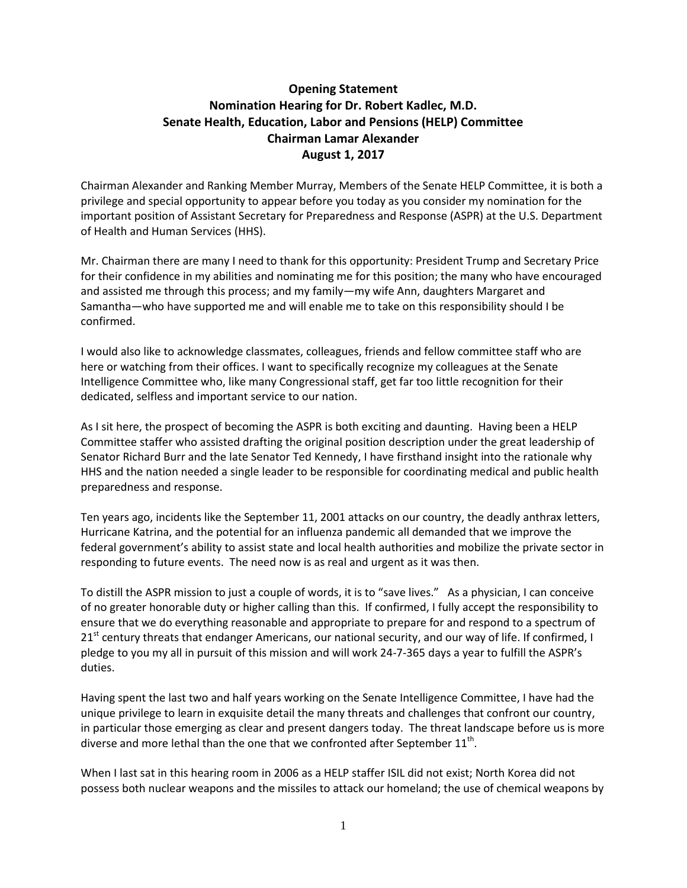## **Opening Statement Nomination Hearing for Dr. Robert Kadlec, M.D. Senate Health, Education, Labor and Pensions (HELP) Committee Chairman Lamar Alexander August 1, 2017**

Chairman Alexander and Ranking Member Murray, Members of the Senate HELP Committee, it is both a privilege and special opportunity to appear before you today as you consider my nomination for the important position of Assistant Secretary for Preparedness and Response (ASPR) at the U.S. Department of Health and Human Services (HHS).

Mr. Chairman there are many I need to thank for this opportunity: President Trump and Secretary Price for their confidence in my abilities and nominating me for this position; the many who have encouraged and assisted me through this process; and my family—my wife Ann, daughters Margaret and Samantha—who have supported me and will enable me to take on this responsibility should I be confirmed.

I would also like to acknowledge classmates, colleagues, friends and fellow committee staff who are here or watching from their offices. I want to specifically recognize my colleagues at the Senate Intelligence Committee who, like many Congressional staff, get far too little recognition for their dedicated, selfless and important service to our nation.

As I sit here, the prospect of becoming the ASPR is both exciting and daunting. Having been a HELP Committee staffer who assisted drafting the original position description under the great leadership of Senator Richard Burr and the late Senator Ted Kennedy, I have firsthand insight into the rationale why HHS and the nation needed a single leader to be responsible for coordinating medical and public health preparedness and response.

Ten years ago, incidents like the September 11, 2001 attacks on our country, the deadly anthrax letters, Hurricane Katrina, and the potential for an influenza pandemic all demanded that we improve the federal government's ability to assist state and local health authorities and mobilize the private sector in responding to future events. The need now is as real and urgent as it was then.

To distill the ASPR mission to just a couple of words, it is to "save lives." As a physician, I can conceive of no greater honorable duty or higher calling than this. If confirmed, I fully accept the responsibility to ensure that we do everything reasonable and appropriate to prepare for and respond to a spectrum of 21<sup>st</sup> century threats that endanger Americans, our national security, and our way of life. If confirmed, I pledge to you my all in pursuit of this mission and will work 24-7-365 days a year to fulfill the ASPR's duties.

Having spent the last two and half years working on the Senate Intelligence Committee, I have had the unique privilege to learn in exquisite detail the many threats and challenges that confront our country, in particular those emerging as clear and present dangers today. The threat landscape before us is more diverse and more lethal than the one that we confronted after September  $11^{\text{th}}$ .

When I last sat in this hearing room in 2006 as a HELP staffer ISIL did not exist; North Korea did not possess both nuclear weapons and the missiles to attack our homeland; the use of chemical weapons by